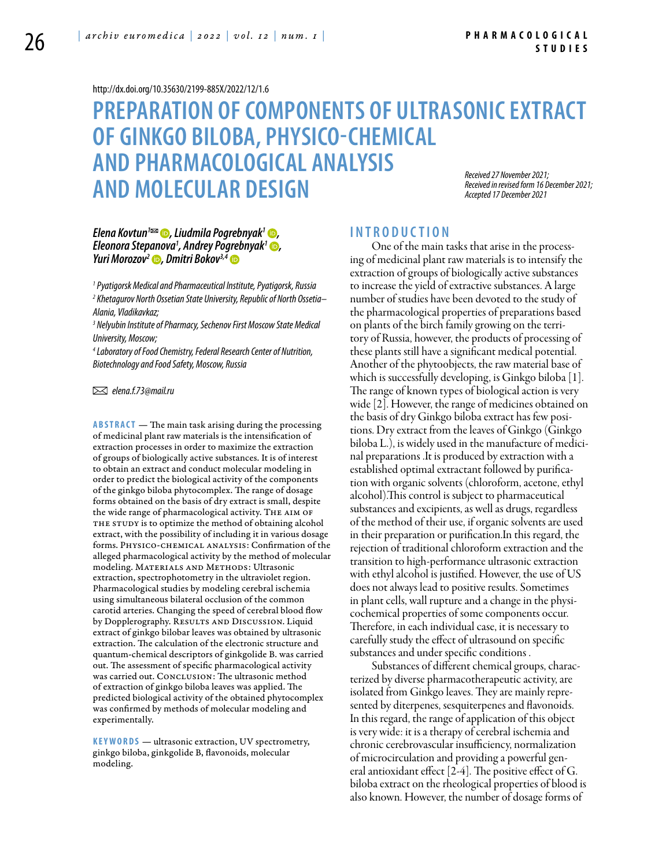#### <http://dx.doi.org/10.35630/2199-885X/2022/12/1.6>

## **Preparation of components of ultrasonic extract of ginkgo biloba, physico-chemical and pharmacological analysis and molecular design** *Received 27 November 2021; Received in revised form 16 December 2021; Accepted 17 December 2021*

*[Elena Kovtun](https://orcid.org/0000-0003-3437-760X)1 , [Liudmila Pogrebnyak](https://orcid.org/0000-0002-3683-9196)1 , Eleonora Stepanova1 , [Andrey Pogrebnyak1](https://orcid.org/0000-0002-6430-8018) , [Yuri Morozov](https://orcid.org/0000-0002-6260-1341)2 , [Dmitri Bokov](https://orcid.org/0000-0003-2968-2466)3,4*

*1 Pyatigorsk Medical and Pharmaceutical Institute, Pyatigorsk, Russia 2 Khetagurov North Ossetian State University, Republic of North Ossetia– Alania, Vladikavkaz;*

*3 Nelyubin Institute of Pharmacy, Sechenov First Moscow State Medical University, Moscow;* 

*4 Laboratory of Food Chemistry, Federal Research Center of Nutrition, Biotechnology and Food Safety, Moscow, Russia* 

 *elena.f.73@mail.ru*

**ABSTRACT** — The main task arising during the processing of medicinal plant raw materials is the intensification of extraction processes in order to maximize the extraction of groups of biologically active substances. It is of interest to obtain an extract and conduct molecular modeling in order to predict the biological activity of the components of the ginkgo biloba phytocomplex. The range of dosage forms obtained on the basis of dry extract is small, despite the wide range of pharmacological activity. THE AIM OF THE STUDY is to optimize the method of obtaining alcohol extract, with the possibility of including it in various dosage forms. Physico-chemical analysis: Confirmation of the alleged pharmacological activity by the method of molecular modeling. MATERIALS AND METHODS: Ultrasonic extraction, spectrophotometry in the ultraviolet region. Pharmacological studies by modeling cerebral ischemia using simultaneous bilateral occlusion of the common carotid arteries. Changing the speed of cerebral blood flow by Dopplerography. RESULTS AND DISCUSSION. Liquid extract of ginkgo bilobar leaves was obtained by ultrasonic extraction. The calculation of the electronic structure and quantum-chemical descriptors of ginkgolide B. was carried out. The assessment of specific pharmacological activity was carried out. CONCLUSION: The ultrasonic method of extraction of ginkgo biloba leaves was applied. The predicted biological activity of the obtained phytocomplex was confirmed by methods of molecular modeling and experimentally.

KEYWORDS — ultrasonic extraction, UV spectrometry, ginkgo biloba, ginkgolide B, flavonoids, molecular modeling.

## **I n t r o d u ct i o n**

One of the main tasks that arise in the processing of medicinal plant raw materials is to intensify the extraction of groups of biologically active substances to increase the yield of extractive substances. A large number of studies have been devoted to the study of the pharmacological properties of preparations based on plants of the birch family growing on the territory of Russia, however, the products of processing of these plants still have a significant medical potential. Another of the phytoobjects, the raw material base of which is successfully developing, is Ginkgo biloba  $|1|$ . The range of known types of biological action is very wide [2]. However, the range of medicines obtained on the basis of dry Ginkgo biloba extract has few positions. Dry extract from the leaves of Ginkgo (Ginkgo biloba L.), is widely used in the manufacture of medicinal preparations .It is produced by extraction with a established optimal extractant followed by purification with organic solvents (chloroform, acetone, ethyl alcohol).This control is subject to pharmaceutical substances and excipients, as well as drugs, regardless of the method of their use, if organic solvents are used in their preparation or purification.In this regard, the rejection of traditional chloroform extraction and the transition to high-performance ultrasonic extraction with ethyl alcohol is justified. However, the use of US does not always lead to positive results. Sometimes in plant cells, wall rupture and a change in the physicochemical properties of some components occur. Therefore, in each individual case, it is necessary to carefully study the effect of ultrasound on specific substances and under specific conditions .

Substances of different chemical groups, characterized by diverse pharmacotherapeutic activity, are isolated from Ginkgo leaves. They are mainly represented by diterpenes, sesquiterpenes and flavonoids. In this regard, the range of application of this object is very wide: it is a therapy of cerebral ischemia and chronic cerebrovascular insufficiency, normalization of microcirculation and providing a powerful general antioxidant effect  $[2-4]$ . The positive effect of G. biloba extract on the rheological properties of blood is also known. However, the number of dosage forms of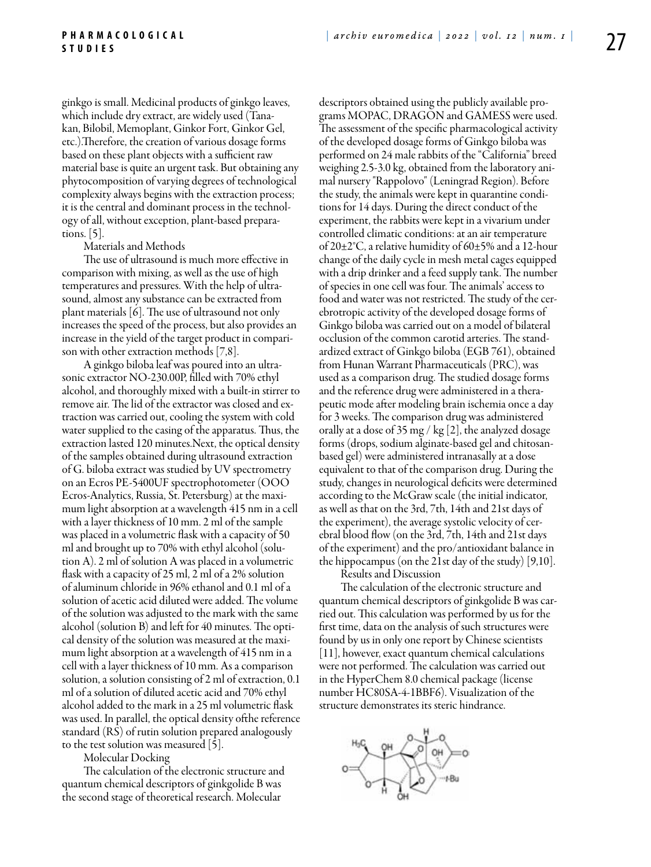ginkgo is small. Medicinal products of ginkgo leaves, which include dry extract, are widely used (Tanakan, Bilobil, Memoplant, Ginkor Fort, Ginkor Gel, etc.).Therefore, the creation of various dosage forms based on these plant objects with a sufficient raw material base is quite an urgent task. But obtaining any phytocomposition of varying degrees of technological complexity always begins with the extraction process; it is the central and dominant process in the technology of all, without exception, plant-based preparations. [5].

#### Materials and Methods

The use of ultrasound is much more effective in comparison with mixing, as well as the use of high temperatures and pressures. With the help of ultrasound, almost any substance can be extracted from plant materials [6]. The use of ultrasound not only increases the speed of the process, but also provides an increase in the yield of the target product in comparison with other extraction methods [7,8].

A ginkgo biloba leaf was poured into an ultrasonic extractor NO-230.00P, filled with 70% ethyl alcohol, and thoroughly mixed with a built-in stirrer to remove air. The lid of the extractor was closed and extraction was carried out, cooling the system with cold water supplied to the casing of the apparatus. Thus, the extraction lasted 120 minutes.Next, the optical density of the samples obtained during ultrasound extraction of G. biloba extract was studied by UV spectrometry on an Ecros PE-5400UF spectrophotometer (OOO Ecros-Analytics, Russia, St. Petersburg) at the maximum light absorption at a wavelength 415 nm in a cell with a layer thickness of 10 mm. 2 ml of the sample was placed in a volumetric flask with a capacity of 50 ml and brought up to 70% with ethyl alcohol (solution A). 2 ml of solution A was placed in a volumetric flask with a capacity of 25 ml, 2 ml of a 2% solution of aluminum chloride in 96% ethanol and 0.1 ml of a solution of acetic acid diluted were added. The volume of the solution was adjusted to the mark with the same alcohol (solution B) and left for 40 minutes. The optical density of the solution was measured at the maximum light absorption at a wavelength of 415 nm in a cell with a layer thickness of 10 mm. As a comparison solution, a solution consisting of 2 ml of extraction, 0.1 ml of a solution of diluted acetic acid and 70% ethyl alcohol added to the mark in a 25 ml volumetric flask was used. In parallel, the optical density ofthe reference standard (RS) of rutin solution prepared analogously to the test solution was measured [5].

Molecular Docking

The calculation of the electronic structure and quantum chemical descriptors of ginkgolide B was the second stage of theoretical research. Molecular

descriptors obtained using the publicly available programs MOPAC, DRAGON and GAMESS were used. The assessment of the specific pharmacological activity of the developed dosage forms of Ginkgo biloba was performed on 24 male rabbits of the "California" breed weighing 2.5-3.0 kg, obtained from the laboratory animal nursery "Rappolovo" (Leningrad Region). Before the study, the animals were kept in quarantine conditions for 14 days. During the direct conduct of the experiment, the rabbits were kept in a vivarium under controlled climatic conditions: at an air temperature of 20±2°C, a relative humidity of 60±5% and a 12-hour change of the daily cycle in mesh metal cages equipped with a drip drinker and a feed supply tank. The number of species in one cell was four. The animals' access to food and water was not restricted. The study of the cerebrotropic activity of the developed dosage forms of Ginkgo biloba was carried out on a model of bilateral occlusion of the common carotid arteries. The standardized extract of Ginkgo biloba (EGB 761), obtained from Hunan Warrant Pharmaceuticals (PRC), was used as a comparison drug. The studied dosage forms and the reference drug were administered in a therapeutic mode after modeling brain ischemia once a day for 3 weeks. The comparison drug was administered orally at a dose of 35 mg / kg [2], the analyzed dosage forms (drops, sodium alginate-based gel and chitosanbased gel) were administered intranasally at a dose equivalent to that of the comparison drug. During the study, changes in neurological deficits were determined according to the McGraw scale (the initial indicator, as well as that on the 3rd, 7th, 14th and 21st days of the experiment), the average systolic velocity of cerebral blood flow (on the 3rd, 7th, 14th and 21st days of the experiment) and the pro/antioxidant balance in the hippocampus (on the 21st day of the study) [9,10].

Results and Discussion The calculation of the electronic structure and quantum chemical descriptors of ginkgolide B was carried out. This calculation was performed by us for the first time, data on the analysis of such structures were found by us in only one report by Chinese scientists [11], however, exact quantum chemical calculations were not performed. The calculation was carried out in the HyperChem 8.0 chemical package (license number HC80SA-4-1BBF6). Visualization of the structure demonstrates its steric hindrance.